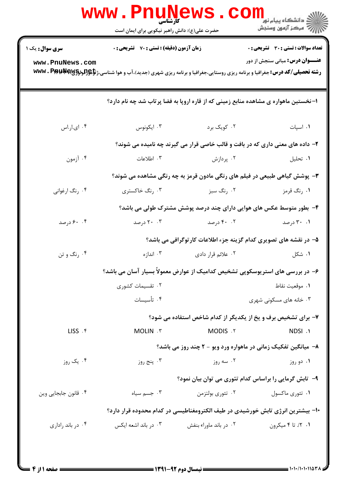|                        | <b>www.Pnun</b><br>كأرشناسي<br>حضرت علی(ع): دانش راهبر نیکویی برای ایمان است |                        | ڪ دانشڪاه پيام نور <mark>−</mark><br>ر∕ <sup>5</sup> مرڪز آزمون وسنڊش                                                                                                                    |
|------------------------|------------------------------------------------------------------------------|------------------------|------------------------------------------------------------------------------------------------------------------------------------------------------------------------------------------|
| <b>سری سوال :</b> یک ۱ | زمان آزمون (دقیقه) : تستی : 70 گشریحی : 0                                    |                        | <b>تعداد سوالات : تستی : 30 ٪ تشریحی : 0</b>                                                                                                                                             |
| www.PnuNews.com        |                                                                              |                        | <b>عنـــوان درس:</b> مبانی سنجش از دور<br><b>رشته تحصیلی/کد درس:</b> جغرافیا و برنامه ریزی روستایی،جغرافیا و برنامه ریزی شهری (جدید)،آب و هوا شناسی،ژ <b>تإچراپوپاپهآپایا WWW . Pip!</b> |
|                        |                                                                              |                        | ۱- نخستین ماهواره ی مشاهده منابع زمینی که از قاره اروپا به فضا پرتاب شد چه نام دارد؟                                                                                                     |
| ۰۴ ای.ار.اس            | ۰۳ ایکونوس                                                                   | ۰۲ کویک برد            | ٠١. اسپات                                                                                                                                                                                |
|                        |                                                                              |                        | ۲- داده های معنی داری که در بافت و قالب خاصی قرار می گیرند چه نامیده می شوند؟                                                                                                            |
| ۰۴ آزمون               | ۰۳ اطلاعات                                                                   | ۰۲ پردازش              | ٠١. تحليل                                                                                                                                                                                |
|                        |                                                                              |                        | <b>۳</b> - پوشش گیاهی طبیعی در فیلم های رنگی مادون قرمز به چه رنگی مشاهده می شوند؟                                                                                                       |
| ۰۴ رنگ ارغوانی         | ۰۳ رنگ خاکستری                                                               | ۰۲ رنگ سبز             | ۰۱ رنگ قرمز                                                                                                                                                                              |
|                        |                                                                              |                        | ۴- بطور متوسط عکس های هوایی دارای چند درصد پوشش مشترک طولی می باشد؟                                                                                                                      |
| ۰. ۶۰ درصد             | ۲۰ . ۲۰ درصد                                                                 | ۰۲ درصد                | ۰۱ ۲۰ درصد                                                                                                                                                                               |
|                        |                                                                              |                        | ۵– در نقشه های تصویری کدام گزینه جزء اطلاعات کارتوگرافی می باشد؟                                                                                                                         |
| ۰۴ رنگ و تن            | ۰۳ اندازه                                                                    | ۰۲ علائم قرار دادی     | ۰۱ شکل                                                                                                                                                                                   |
|                        |                                                                              |                        | ۶– در بررسی های استریوسکوپی تشخیص کدامیک از عوارض معمولاً بسیار آسان می باشد؟                                                                                                            |
|                        | ۰۲ تقسیمات کشوری                                                             |                        | ٠١. موقعيت نقاط                                                                                                                                                                          |
|                        | ۰۴ تأسیسات                                                                   |                        | ۰۳ خانه های مسکونی شهری                                                                                                                                                                  |
|                        |                                                                              |                        | ۷- برای تشخیص برف و یخ از یکدیگر از کدام شاخص استفاده می شود؟                                                                                                                            |
| LISS . ۴               | MOLIN . ٣                                                                    | MODIS .Y               | NDSI .1                                                                                                                                                                                  |
|                        |                                                                              |                        | ۸- میانگین تفکیک زمانی در ماهواره ورد ویو - ۲ چند روز می باشد؟                                                                                                                           |
| ۰۴ یک روز              | ۰۳ پنج روز                                                                   | ۰۲ سه روز              | ۰۱ دو روز                                                                                                                                                                                |
|                        |                                                                              |                        | ۹- تابش گرمایی را براساس کدام تئوری می توان بیان نمود؟                                                                                                                                   |
| ۰۴ قانون جابجايي وين   | جسم سياه $\cdot$ ۳                                                           | ۰۲ تئوري بولتزمن       | ۰۱ تئوري ماکسول                                                                                                                                                                          |
|                        |                                                                              |                        | ∙۱− بیشترین انرژی تابش خورشیدی در طیف الکترومغناطیسی در کدام محدوده قرار دارد؟                                                                                                           |
| ۰۴ در باند راداری      | ۰۳ در باند اشعه ایکس                                                         | ۰۲ در باند ماوراء بنفش | ۰۱. ۲٪ تا ۴ میکرون                                                                                                                                                                       |
|                        |                                                                              |                        |                                                                                                                                                                                          |
|                        |                                                                              |                        |                                                                                                                                                                                          |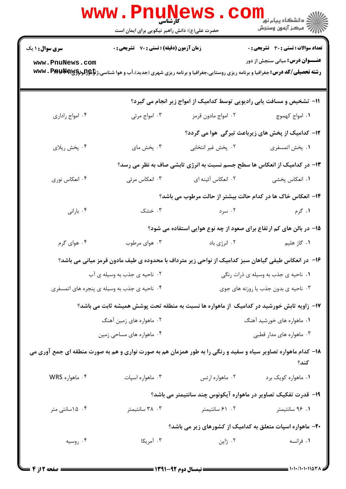|                                                                                                                        | <b>www.Pnul</b><br><b>کارشناسی</b><br>حضرت علی(ع): دانش راهبر نیکویی برای ایمان است | <b>LEWS</b><br>COI                   | ر دانشڪاه پيام نور <mark>−</mark><br>ا∛ مرکز آزمون وسنڊش                                                                                                                               |  |  |
|------------------------------------------------------------------------------------------------------------------------|-------------------------------------------------------------------------------------|--------------------------------------|----------------------------------------------------------------------------------------------------------------------------------------------------------------------------------------|--|--|
| <b>سری سوال : ۱ یک</b>                                                                                                 | <b>زمان آزمون (دقیقه) : تستی : 70 قشریحی : 0</b>                                    |                                      | تعداد سوالات : تستى : 30 قشريحى : 0                                                                                                                                                    |  |  |
| www.PnuNews.com                                                                                                        |                                                                                     |                                      | <b>عنـــوان درس:</b> مبانی سنجش از دور<br><b>رشته تحصیلی/کد درس:</b> جغرافیا و برنامه ریزی روستایی،جغرافیا و برنامه ریزی شهری (جدید)،آب و هوا شناسی،ژ <b>تإهِ(للولوگWwv . Ppp)\$</b> T |  |  |
|                                                                                                                        |                                                                                     |                                      | 11- تشخیص و مسافت یابی رادیویی توسط کدامیک از امواج زیر انجام می گیرد؟                                                                                                                 |  |  |
| ۰۴ امواج راداری                                                                                                        | ۰۳ امواج مرئی                                                                       | ۰۲ امواج مادون قرمز                  | ۰۱ امواج کهموچ                                                                                                                                                                         |  |  |
|                                                                                                                        |                                                                                     |                                      | <b>۱۲</b> - کدامیک از پخش های زیرباعث تیرگی هوا می گردد؟                                                                                                                               |  |  |
| ۰۴ پخش ريلاي                                                                                                           | ۰۳ پخش مای                                                                          | ۰۲ پخش غیر انتخابی                   | ٠١. پخش اتمسفري                                                                                                                                                                        |  |  |
| ۱۳- در کدامیک از انعکاس ها سطح جسم نسبت به انرژی تابشی صاف به نظر می رسد؟                                              |                                                                                     |                                      |                                                                                                                                                                                        |  |  |
| ۰۴ انعکاس نوری                                                                                                         | ۰۳ انعکاس مرئی                                                                      | ٢. انعكاس أئينه اي                   | ۰۱ انعکاس پخشی                                                                                                                                                                         |  |  |
|                                                                                                                        |                                                                                     |                                      | ۱۴– انعکاس خاک ها در کدام حالت بیشتر از حالت مرطوب می باشد؟                                                                                                                            |  |  |
| ۰۴ بارانی                                                                                                              | ۰۳ خشک                                                                              | ۰۲ سرد                               | ۱. گرم                                                                                                                                                                                 |  |  |
|                                                                                                                        |                                                                                     |                                      | 1۵– در بالن های کم ارتفاع برای صعود از چه نوع هوایی استفاده می شود؟                                                                                                                    |  |  |
| ۰۴ هوای گرم                                                                                                            | ۰۳ هوای مرطوب                                                                       | ۰۲ انرژی باد                         | ۰۱ گاز هلیم                                                                                                                                                                            |  |  |
| ۱۶– در انعکاس طیفی گیاهان سبز کدامیک از نواحی زیر مترداف با محدوده ی طیف مادون قرمز میانی می باشد؟                     |                                                                                     |                                      |                                                                                                                                                                                        |  |  |
| ۰۲ ناحیه ی جذب به وسیله ی آب                                                                                           |                                                                                     | ٠١ ناحيه ي جذب به وسيله ي ذرات رنگي  |                                                                                                                                                                                        |  |  |
| ۰۴ ناحیه ی جذب به وسیله ی پنجره های اتمسفری                                                                            |                                                                                     | ۰۳ ناحیه ی بدون جذب یا روزنه های جوی |                                                                                                                                                                                        |  |  |
|                                                                                                                        |                                                                                     |                                      | ۱۷– زاویه تابش خورشید در کدامیک از ماهواره ها نسبت به منطقه تحت پوشش همیشه ثابت می باشد؟                                                                                               |  |  |
| ۰۲ ماهواره های زمین آهنگ                                                                                               |                                                                                     | ۰۱ ماهواره های خورشید آهنگ           |                                                                                                                                                                                        |  |  |
| ۰۴ ماهواره های مساحی زمین                                                                                              |                                                                                     | ۰۳ ماهواره های مدار قطبی             |                                                                                                                                                                                        |  |  |
| ۱۸- کدام ماهواره تصاویر سیاه و سفید و رنگی را به طور همزمان هم به صورت نواری و هم به صورت منطقه ای جمع آوری می<br>كند؟ |                                                                                     |                                      |                                                                                                                                                                                        |  |  |
| ۰۴ ماهواره WRS                                                                                                         | ۰۳ ماهواره اسپات                                                                    | ۰۲ ماهواره ارتس                      | ۰۱ ماهواره کويک برد                                                                                                                                                                    |  |  |
|                                                                                                                        |                                                                                     |                                      | ۱۹- قدرت تفکیک تصاویر در ماهواره آیکونوس چند سانتیمتر می باشد؟                                                                                                                         |  |  |
| ۰۴ ۱۵ سانتی متر                                                                                                        | ۰۳ سانتیمتر                                                                         | ۰۲ ۶۱ سانتیمتر                       | ۰۱ ۹۶ سانتیمتر                                                                                                                                                                         |  |  |
| ۲۰- ماهواره اسپات متعلق به کدامیک از کشورهای زیر می باشد؟                                                              |                                                                                     |                                      |                                                                                                                                                                                        |  |  |
| ۰۴ روسیه                                                                                                               | ۰۳ آمریکا                                                                           | ۰۲ ژاپن                              | ۰۱ فرانسه                                                                                                                                                                              |  |  |
|                                                                                                                        |                                                                                     |                                      |                                                                                                                                                                                        |  |  |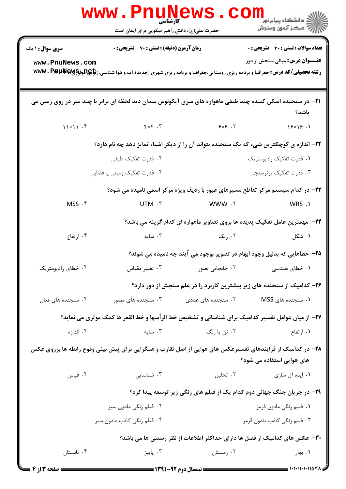|                                                                                                                                         | <b>WWW.FNUNEWS.</b><br>کارشناسی<br>حضرت علی(ع): دانش راهبر نیکویی برای ایمان است                                    |                          | COM<br>≦ دانشگاه پيام نو <mark>ر</mark><br>سن آزمون وسنجش                                                                                                                               |  |  |
|-----------------------------------------------------------------------------------------------------------------------------------------|---------------------------------------------------------------------------------------------------------------------|--------------------------|-----------------------------------------------------------------------------------------------------------------------------------------------------------------------------------------|--|--|
| <b>سری سوال :</b> ۱ یک                                                                                                                  | <b>زمان آزمون (دقیقه) : تستی : 70 ٪ تشریحی : 0</b>                                                                  |                          | تعداد سوالات : تستي : 30 ٪ تشريحي : 0                                                                                                                                                   |  |  |
| www.PnuNews.com                                                                                                                         |                                                                                                                     |                          | <b>عنـــوان درس:</b> مبانی سنجش از دور<br><b>رشته تحصیلی/کد درس:</b> جغرافیا و برنامه ریزی روستایی،جغرافیا و برنامه ریزی شهری (جدید)،آب و هوا شناسی،ژ <b>تإچو(لودRAR ، PAB) WWV</b> . P |  |  |
|                                                                                                                                         | <b>۲۱</b> - در سنجنده اسکن کننده چند طیفی ماهواره های سری آیکونوس میدان دید لحظه ای برابر با چند متر در روی زمین می |                          | باشد؟                                                                                                                                                                                   |  |  |
|                                                                                                                                         |                                                                                                                     |                          | 15x15.1                                                                                                                                                                                 |  |  |
| ۲۲- اندازه ی کوچکترین شیء که یک سنجنده بتواند آن را از دیگر اشیاء تمایز دهد چه نام دارد؟                                                |                                                                                                                     |                          |                                                                                                                                                                                         |  |  |
|                                                                                                                                         | ۲. قدرت تفکیک طیفی                                                                                                  |                          | ۰۱ قدرت تفکیک رادیومتریک                                                                                                                                                                |  |  |
|                                                                                                                                         | ۰۴ قدرت تفکیک زمینی یا فضایی                                                                                        |                          | ۰۳ قدرت تفکیک پرتوسنجی                                                                                                                                                                  |  |  |
|                                                                                                                                         |                                                                                                                     |                          | ۲۳- در کدام سیستم مرکز تقاطع مسیرهای عبور با ردیف ویژه مرکز اسمی نامیده می شود؟                                                                                                         |  |  |
| MSS . ۴                                                                                                                                 | UTM .۳                                                                                                              | VWW . T                  | WRS .1                                                                                                                                                                                  |  |  |
|                                                                                                                                         |                                                                                                                     |                          | <b>۲۴</b> - مهمترین عامل تفکیک پدیده ها بروی تصاویر ماهواره ای کدام گزینه می باشد؟                                                                                                      |  |  |
| ۰۴ ارتفاع                                                                                                                               |                                                                                                                     | ۲. رنگ های به سایه استان | ۰۱ شکل                                                                                                                                                                                  |  |  |
|                                                                                                                                         |                                                                                                                     |                          | ۲۵- خطاهایی که بدلیل وجود ابهام در تصویر بوجود می آیند چه نامیده می شوند؟                                                                                                               |  |  |
| ۰۴ خطای رادیومتریک                                                                                                                      | ۰۳ تغییر مقیاس                                                                                                      | ۰۲ جابجایی تصور          | <b>۱. خ</b> طای هندسی                                                                                                                                                                   |  |  |
|                                                                                                                                         |                                                                                                                     |                          | ۲۶- کدامیک از سنجنده های زیر بیشترین کاربرد را در علم سنجش از دور دارد؟                                                                                                                 |  |  |
| ۰۴ سنجنده های فعال                                                                                                                      | ۰۳ سنجنده های مصور                                                                                                  | ۰۲ سنجنده های عددی       | ۰۱ سنجنده های MSS                                                                                                                                                                       |  |  |
| ۲۷– از میان عوامل تفسیر کدامیک برای شناسائی و تشخیص خط الرأسها و خط القعر ها کمک موثری می نماید؟                                        |                                                                                                                     |                          |                                                                                                                                                                                         |  |  |
| ۰۴ اندازه                                                                                                                               | سايە $\cdot$ ۳ .                                                                                                    | ۰۲ تن یا رنگ             | ۰۱ ارتفاع                                                                                                                                                                               |  |  |
| ۲۸– در کدامیک از فرایندهای تفسیرعکس های هوایی از اصل تقارب و همگرایی برای پیش بینی وقوع رابطه ها برروی عکس<br>های هوایی استفاده می شود؟ |                                                                                                                     |                          |                                                                                                                                                                                         |  |  |
| ۰۴ قیاس                                                                                                                                 | ۰۳ شناسایی                                                                                                          | ۰۲ تحلیل                 | ۰۱ ایده آل سازی                                                                                                                                                                         |  |  |
|                                                                                                                                         |                                                                                                                     |                          | ۲۹- در جریان جنگ جهانی دوم کدام یک از فیلم های رنگی زیر توسعه پیدا کرد؟                                                                                                                 |  |  |
|                                                                                                                                         | ۰۲ فیلم رنگی مادون سبز                                                                                              |                          | ۰۱ فیلم رنگی مادون قرمز                                                                                                                                                                 |  |  |
|                                                                                                                                         | ۰۴ فیلم رنگی کاذب مادون سبز                                                                                         |                          | ۰۳ فیلم رنگی کاذب مادون قرمز                                                                                                                                                            |  |  |
| ۳۰– عکس های کدامیک از فصل ها دارای حداکثر اطلاعات از نظر رستنی ها می باشد؟                                                              |                                                                                                                     |                          |                                                                                                                                                                                         |  |  |
| ۰۴ تابستان                                                                                                                              | ۰۳ پاییز                                                                                                            | ۰۲ زمستان                | ۰۱ بهار                                                                                                                                                                                 |  |  |
|                                                                                                                                         |                                                                                                                     |                          |                                                                                                                                                                                         |  |  |